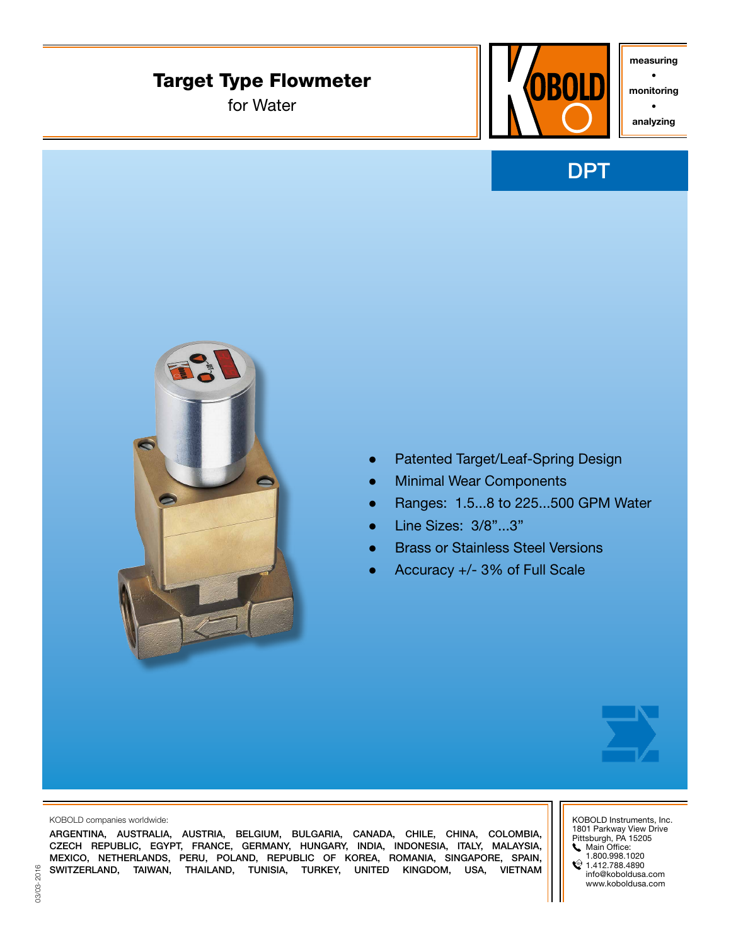# Target Type Flowmeter

for Water



measuring •

monitoring

• analyzing





- Patented Target/Leaf-Spring Design
- **Minimal Wear Components**
- Ranges: 1.5...8 to 225...500 GPM Water
- Line Sizes: 3/8"...3"
- **Brass or Stainless Steel Versions**
- Accuracy +/- 3% of Full Scale



KOBOLD companies worldwide:

ARGENTINA, AUSTRALIA, AUSTRIA, BELGIUM, BULGARIA, CANADA, CHILE, CHINA, COLOMBIA, CZECH REPUBLIC, EGYPT, FRANCE, GERMANY, HUNGARY, INDIA, INDONESIA, ITALY, MALAYSIA, MEXICO, NETHERLANDS, PERU, POLAND, REPUBLIC OF KOREA, ROMANIA, SINGAPORE, SPAIN, SWITZERLAND, TAIWAN, THAILAND, TUNISIA, TURKEY, UNITED KINGDOM, USA, VIETNAM KOBOLD Instruments, Inc. 1801 Parkway View Drive Pittsburgh, PA 15205 **Main Office:** 1.800.998.1020

 $\textcircled{1.412.788.4890}$ info@koboldusa.com www.koboldusa.com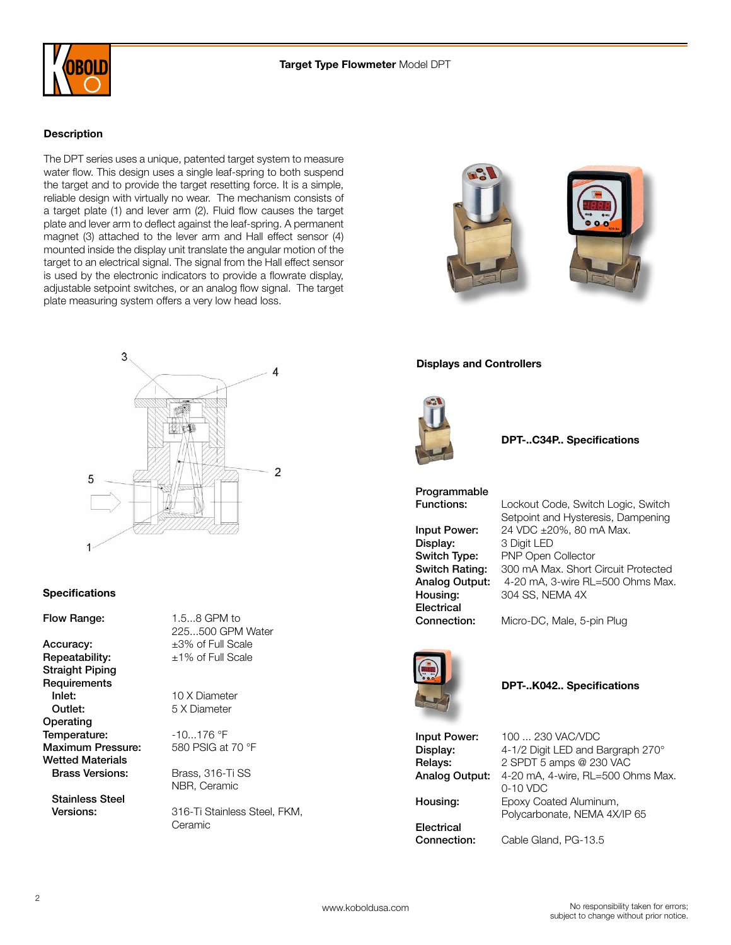

#### **Description**

The DPT series uses a unique, patented target system to measure water flow. This design uses a single leaf-spring to both suspend the target and to provide the target resetting force. It is a simple, reliable design with virtually no wear. The mechanism consists of a target plate (1) and lever arm (2). Fluid flow causes the target plate and lever arm to deflect against the leaf-spring. A permanent magnet (3) attached to the lever arm and Hall effect sensor (4) mounted inside the display unit translate the angular motion of the target to an electrical signal. The signal from the Hall effect sensor is used by the electronic indicators to provide a flowrate display, adjustable setpoint switches, or an analog flow signal. The target plate measuring system offers a very low head loss.



### **Specifications**

Flow Range: 1.5...8 GPM to

Accuracy:  $\pm 3\%$  of Full Scale **Repeatability:**  $\pm 1\%$  of Full Scale Straight Piping **Requirements** Inlet: 10 X Diameter **Outlet:** 5 X Diameter **Operating** Temperature:  $-10...176$  °F Maximum Pressure: 580 PSIG at 70 °F Wetted Materials Brass Versions: Brass, 316-Ti SS

Stainless Steel

225...500 GPM Water

NBR, Ceramic

 Versions: 316-Ti Stainless Steel, FKM, Ceramic





#### Displays and Controllers



#### DPT-..C34P.. Specifications

Programmable

**Electrical** 

Functions: Lockout Code, Switch Logic, Switch Setpoint and Hysteresis, Dampening Input Power: 24 VDC ±20%, 80 mA Max.<br>Display: 3 Digit LED 3 Digit LED Switch Type: PNP Open Collector Switch Rating: 300 mA Max. Short Circuit Protected Analog Output: 4-20 mA, 3-wire RL=500 Ohms Max. Housing: 304 SS, NEMA 4X

Connection: Micro-DC, Male, 5-pin Plug



#### DPT-..K042.. Specifications

**Electrical** 

Input Power: 100 ... 230 VAC/VDC **Display:** 4-1/2 Digit LED and Bargraph 270° Relays: 2 SPDT 5 amps @ 230 VAC Analog Output: 4-20 mA, 4-wire, RL=500 Ohms Max. 0-10 VDC Housing: Epoxy Coated Aluminum, Polycarbonate, NEMA 4X/IP 65

Connection: Cable Gland, PG-13.5